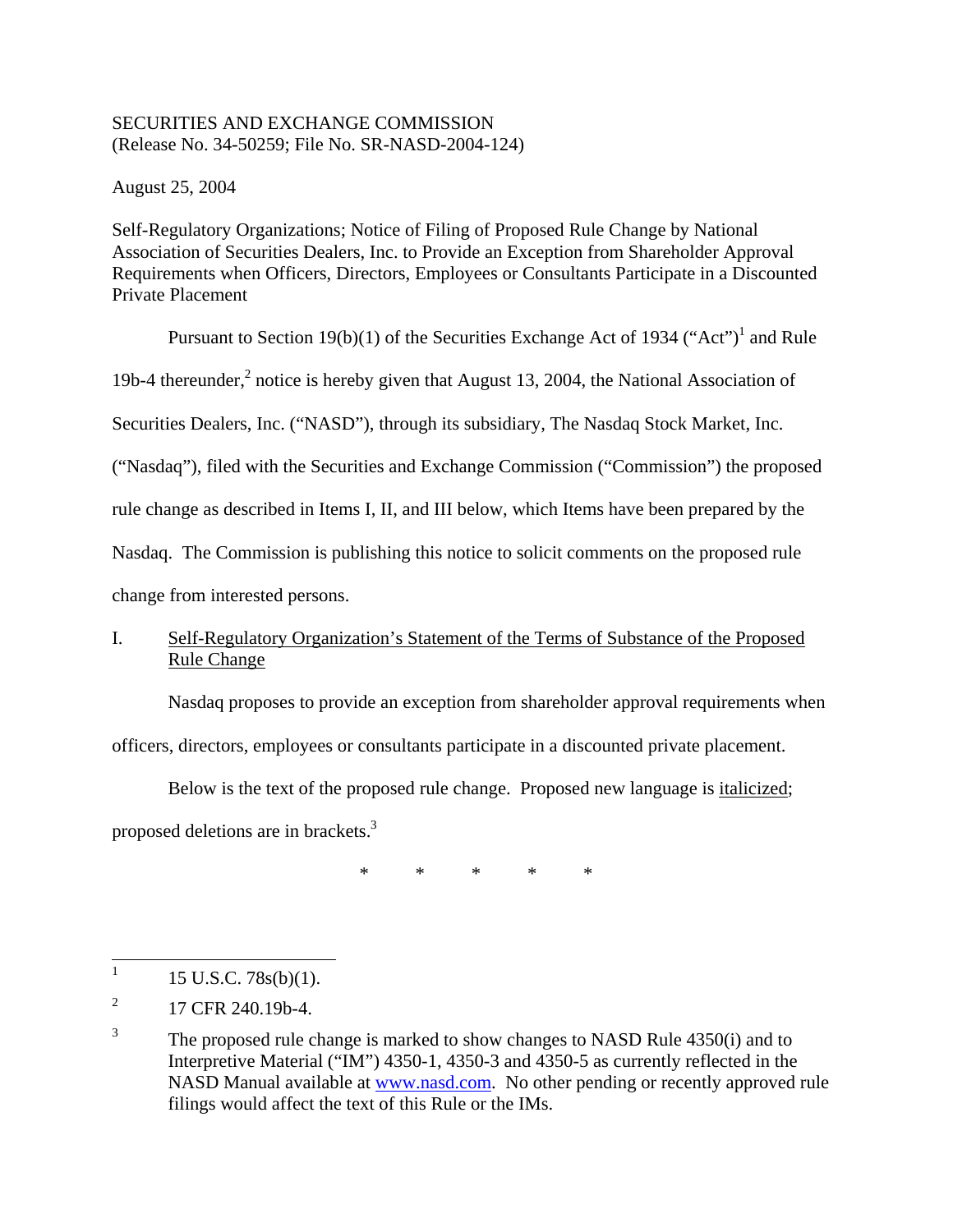## SECURITIES AND EXCHANGE COMMISSION (Release No. 34-50259; File No. SR-NASD-2004-124)

August 25, 2004

Self-Regulatory Organizations; Notice of Filing of Proposed Rule Change by National Association of Securities Dealers, Inc. to Provide an Exception from Shareholder Approval Requirements when Officers, Directors, Employees or Consultants Participate in a Discounted Private Placement

Pursuant to Section [1](#page-0-0)9(b)(1) of the Securities Exchange Act of 1934 ("Act")<sup>1</sup> and Rule

19b-4 thereunder, $<sup>2</sup>$  $<sup>2</sup>$  $<sup>2</sup>$  notice is hereby given that August 13, 2004, the National Association of</sup>

Securities Dealers, Inc. ("NASD"), through its subsidiary, The Nasdaq Stock Market, Inc.

("Nasdaq"), filed with the Securities and Exchange Commission ("Commission") the proposed

rule change as described in Items I, II, and III below, which Items have been prepared by the

Nasdaq. The Commission is publishing this notice to solicit comments on the proposed rule

change from interested persons.

# I. Self-Regulatory Organization's Statement of the Terms of Substance of the Proposed Rule Change

Nasdaq proposes to provide an exception from shareholder approval requirements when

officers, directors, employees or consultants participate in a discounted private placement.

Below is the text of the proposed rule change. Proposed new language is italicized;

proposed deletions are in brackets.<sup>[3](#page-0-2)</sup>

\* \* \* \* \*

<span id="page-0-0"></span> 1 15 U.S.C. 78s(b)(1).

<span id="page-0-1"></span><sup>2</sup> 17 CFR 240.19b-4.

<span id="page-0-2"></span><sup>3</sup> The proposed rule change is marked to show changes to NASD Rule 4350(i) and to Interpretive Material ("IM") 4350-1, 4350-3 and 4350-5 as currently reflected in the NASD Manual available at [www.nasd.com.](http://www.nasd.com/) No other pending or recently approved rule filings would affect the text of this Rule or the IMs.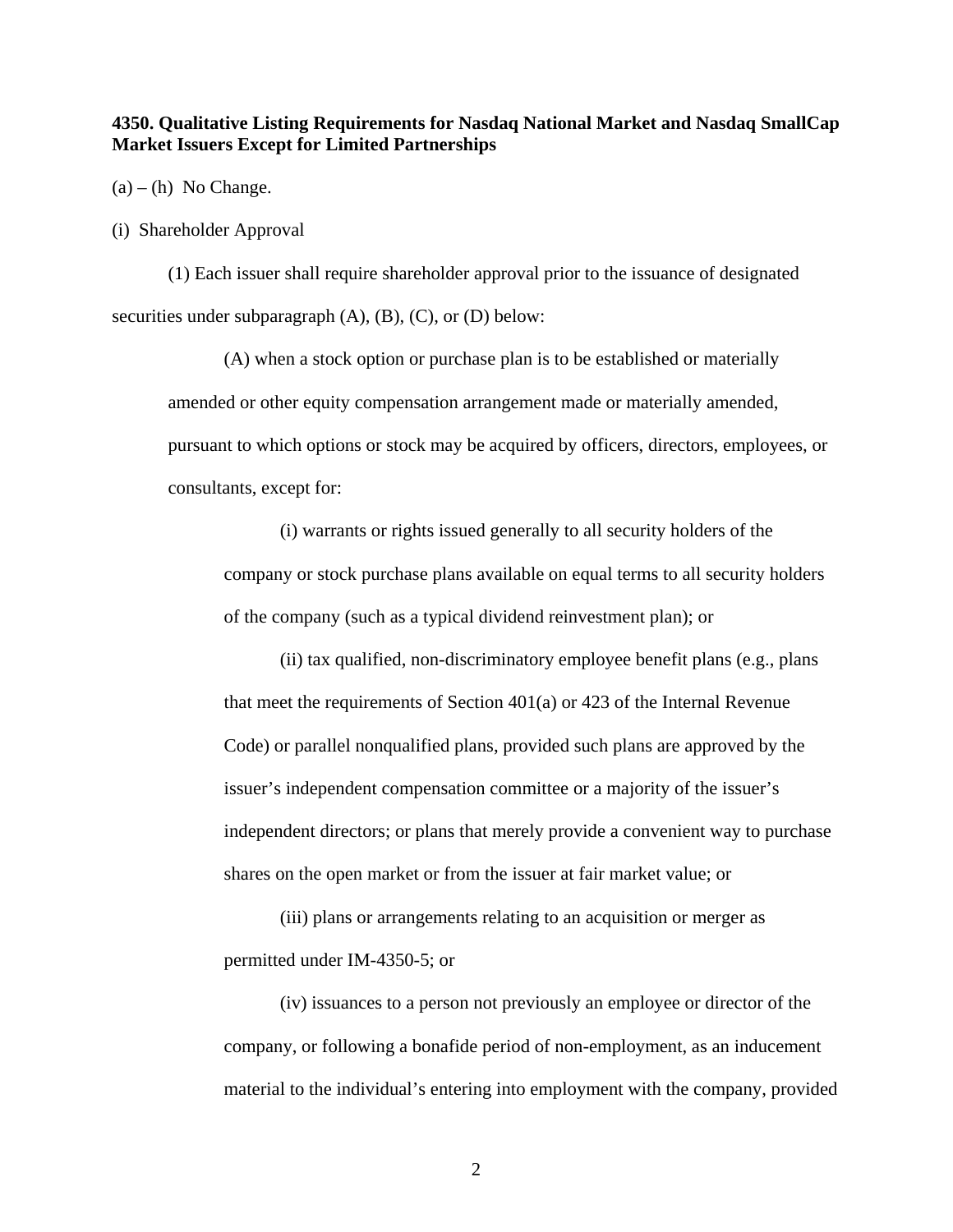### **4350. Qualitative Listing Requirements for Nasdaq National Market and Nasdaq SmallCap Market Issuers Except for Limited Partnerships**

 $(a) - (h)$  No Change.

(i) Shareholder Approval

(1) Each issuer shall require shareholder approval prior to the issuance of designated securities under subparagraph  $(A)$ ,  $(B)$ ,  $(C)$ , or  $(D)$  below:

(A) when a stock option or purchase plan is to be established or materially amended or other equity compensation arrangement made or materially amended, pursuant to which options or stock may be acquired by officers, directors, employees, or consultants, except for:

(i) warrants or rights issued generally to all security holders of the company or stock purchase plans available on equal terms to all security holders of the company (such as a typical dividend reinvestment plan); or

(ii) tax qualified, non-discriminatory employee benefit plans (e.g., plans that meet the requirements of Section 401(a) or 423 of the Internal Revenue Code) or parallel nonqualified plans, provided such plans are approved by the issuer's independent compensation committee or a majority of the issuer's independent directors; or plans that merely provide a convenient way to purchase shares on the open market or from the issuer at fair market value; or

(iii) plans or arrangements relating to an acquisition or merger as permitted under IM-4350-5; or

(iv) issuances to a person not previously an employee or director of the company, or following a bonafide period of non-employment, as an inducement material to the individual's entering into employment with the company, provided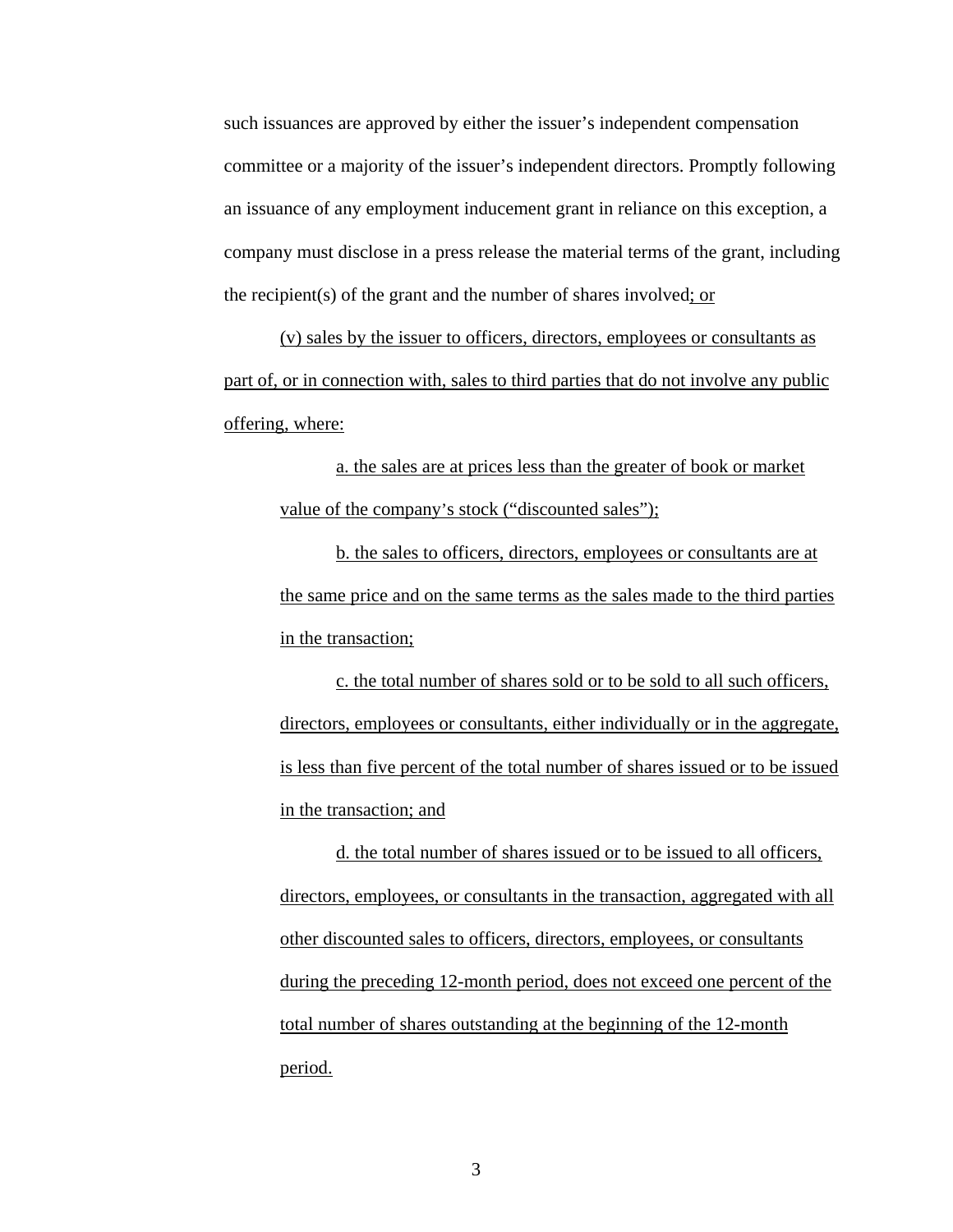such issuances are approved by either the issuer's independent compensation committee or a majority of the issuer's independent directors. Promptly following an issuance of any employment inducement grant in reliance on this exception, a company must disclose in a press release the material terms of the grant, including the recipient(s) of the grant and the number of shares involved; or

(v) sales by the issuer to officers, directors, employees or consultants as part of, or in connection with, sales to third parties that do not involve any public offering, where:

a. the sales are at prices less than the greater of book or market value of the company's stock ("discounted sales");

b. the sales to officers, directors, employees or consultants are at the same price and on the same terms as the sales made to the third parties in the transaction;

c. the total number of shares sold or to be sold to all such officers, directors, employees or consultants, either individually or in the aggregate, is less than five percent of the total number of shares issued or to be issued in the transaction; and

d. the total number of shares issued or to be issued to all officers, directors, employees, or consultants in the transaction, aggregated with all other discounted sales to officers, directors, employees, or consultants during the preceding 12-month period, does not exceed one percent of the total number of shares outstanding at the beginning of the 12-month period.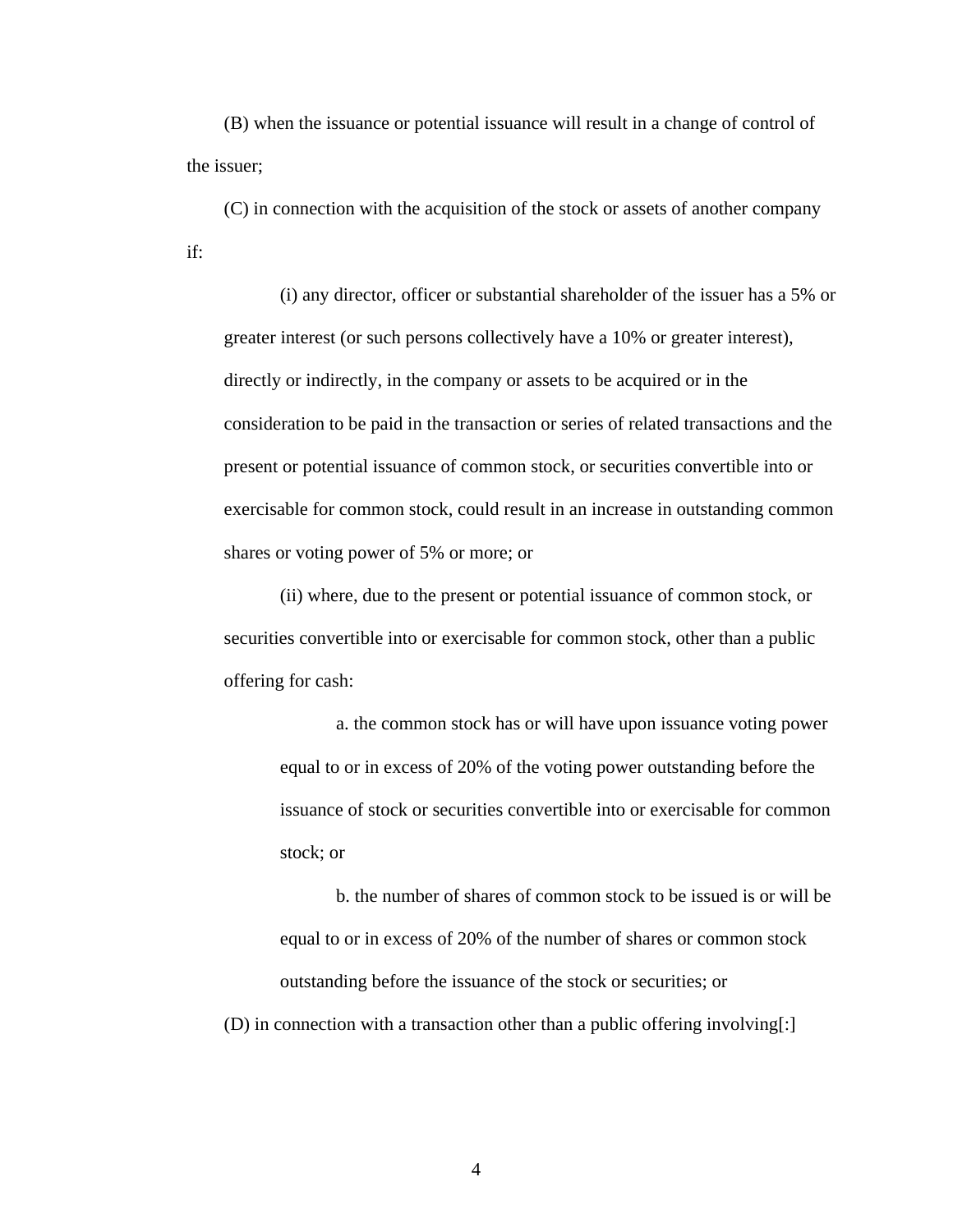(B) when the issuance or potential issuance will result in a change of control of the issuer;

(C) in connection with the acquisition of the stock or assets of another company if:

(i) any director, officer or substantial shareholder of the issuer has a 5% or greater interest (or such persons collectively have a 10% or greater interest), directly or indirectly, in the company or assets to be acquired or in the consideration to be paid in the transaction or series of related transactions and the present or potential issuance of common stock, or securities convertible into or exercisable for common stock, could result in an increase in outstanding common shares or voting power of 5% or more; or

(ii) where, due to the present or potential issuance of common stock, or securities convertible into or exercisable for common stock, other than a public offering for cash:

a. the common stock has or will have upon issuance voting power equal to or in excess of 20% of the voting power outstanding before the issuance of stock or securities convertible into or exercisable for common stock; or

b. the number of shares of common stock to be issued is or will be equal to or in excess of 20% of the number of shares or common stock outstanding before the issuance of the stock or securities; or

(D) in connection with a transaction other than a public offering involving[:]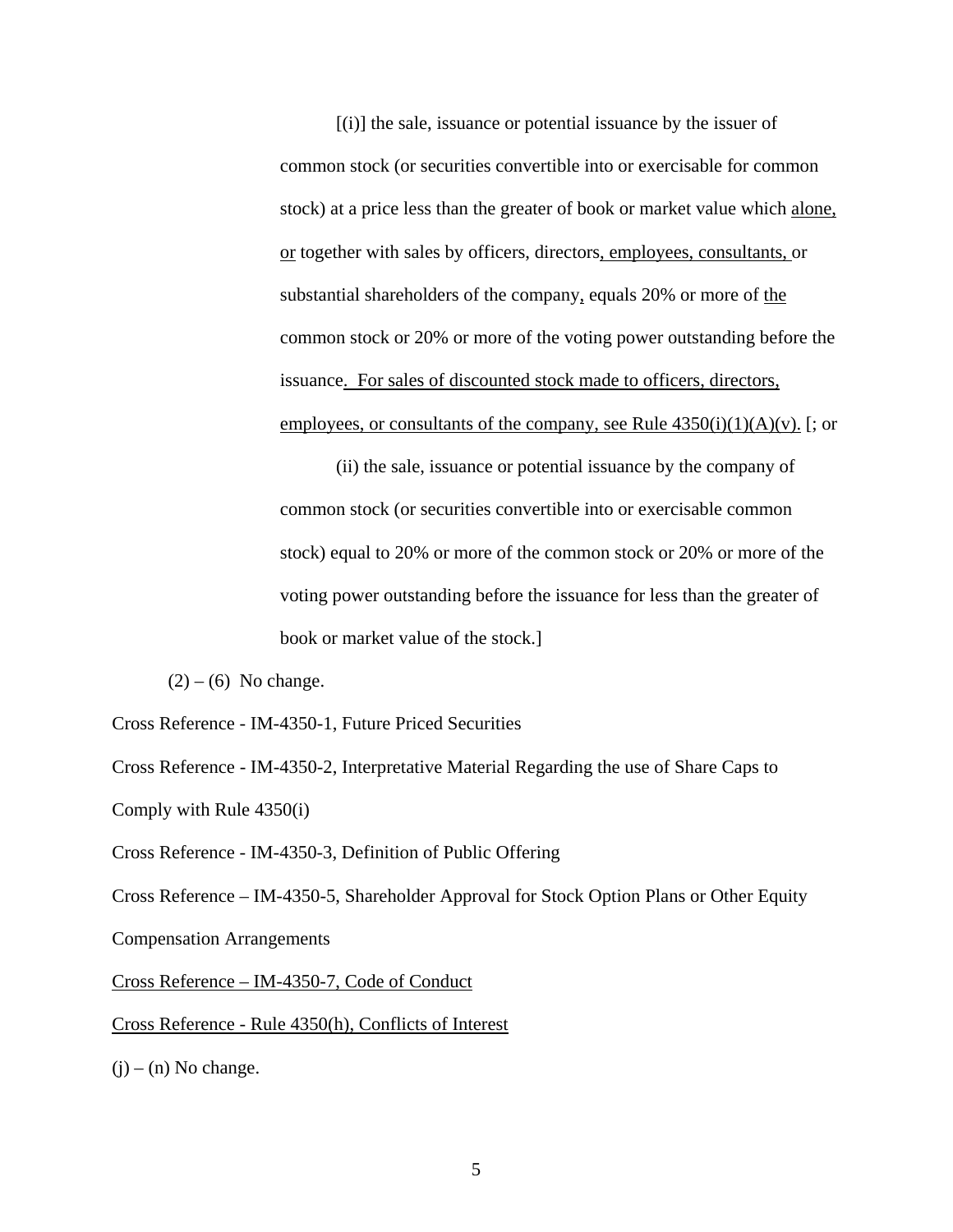[(i)] the sale, issuance or potential issuance by the issuer of common stock (or securities convertible into or exercisable for common stock) at a price less than the greater of book or market value which alone, or together with sales by officers, directors, employees, consultants, or substantial shareholders of the company, equals 20% or more of the common stock or 20% or more of the voting power outstanding before the issuance. For sales of discounted stock made to officers, directors, employees, or consultants of the company, see Rule  $4350(i)(1)(A)(v)$ . [; or

(ii) the sale, issuance or potential issuance by the company of common stock (or securities convertible into or exercisable common stock) equal to 20% or more of the common stock or 20% or more of the voting power outstanding before the issuance for less than the greater of book or market value of the stock.]

 $(2) - (6)$  No change.

Cross Reference - IM-4350-1, Future Priced Securities

Cross Reference - IM-4350-2, Interpretative Material Regarding the use of Share Caps to Comply with Rule 4350(i)

Cross Reference - IM-4350-3, Definition of Public Offering

Cross Reference – IM-4350-5, Shareholder Approval for Stock Option Plans or Other Equity Compensation Arrangements

Cross Reference – IM-4350-7, Code of Conduct

Cross Reference - Rule 4350(h), Conflicts of Interest

 $(i)$  – (n) No change.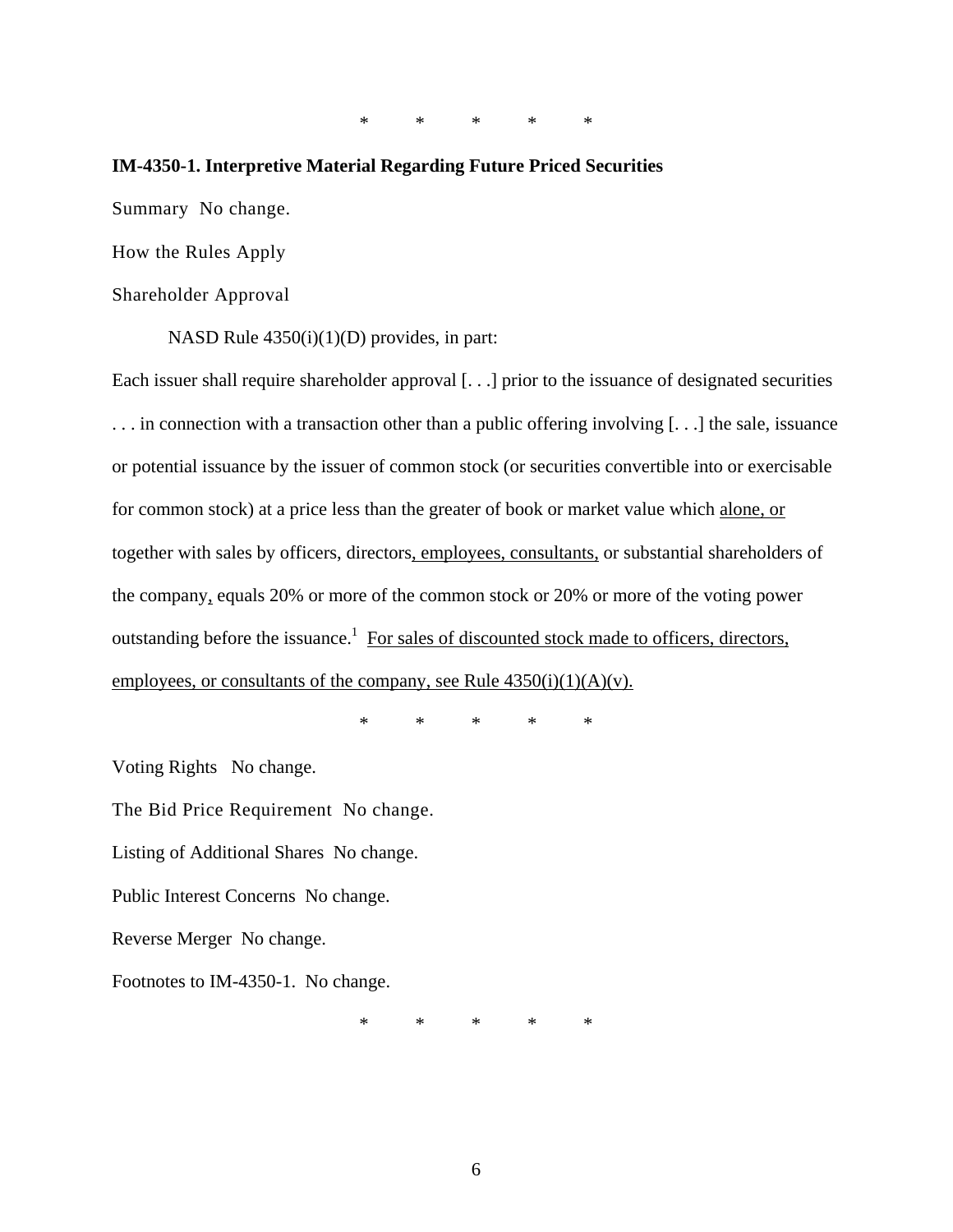\* \* \* \* \*

#### **IM-4350-1. Interpretive Material Regarding Future Priced Securities**

Summary No change.

How the Rules Apply

Shareholder Approval

NASD Rule 4350(i)(1)(D) provides, in part:

Each issuer shall require shareholder approval [. . .] prior to the issuance of designated securities . . . in connection with a transaction other than a public offering involving [. . .] the sale, issuance or potential issuance by the issuer of common stock (or securities convertible into or exercisable for common stock) at a price less than the greater of book or market value which alone, or together with sales by officers, directors, employees, consultants, or substantial shareholders of the company, equals 20% or more of the common stock or 20% or more of the voting power outstanding before the issuance.<sup>1</sup> For sales of discounted stock made to officers, directors, employees, or consultants of the company, see Rule  $4350(i)(1)(A)(v)$ .

\* \* \* \* \*

Voting Rights No change.

The Bid Price Requirement No change.

Listing of Additional Shares No change.

Public Interest Concerns No change.

Reverse Merger No change.

Footnotes to IM-4350-1. No change.

\* \* \* \* \*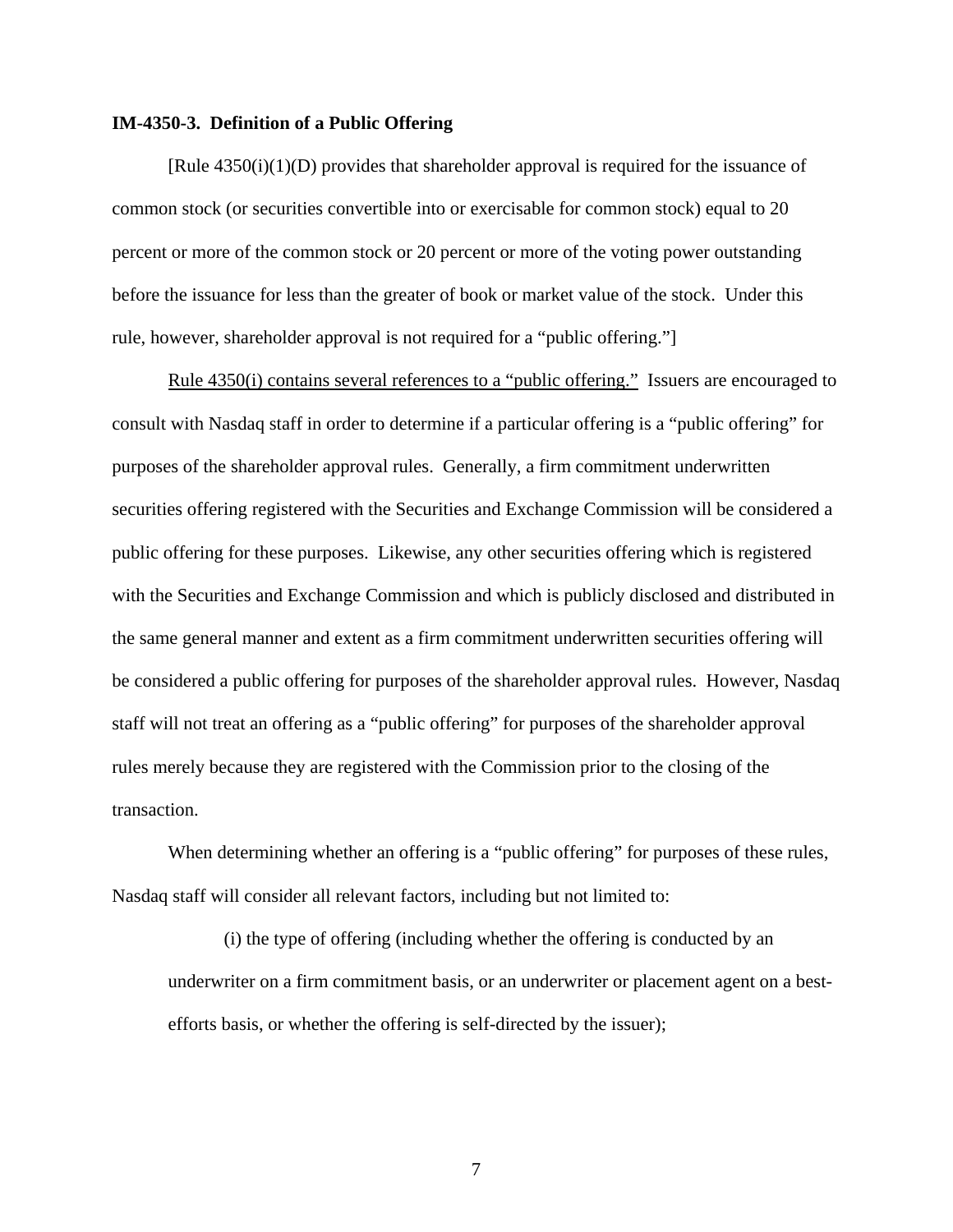#### **IM-4350-3. Definition of a Public Offering**

[Rule 4350(i)(1)(D) provides that shareholder approval is required for the issuance of common stock (or securities convertible into or exercisable for common stock) equal to 20 percent or more of the common stock or 20 percent or more of the voting power outstanding before the issuance for less than the greater of book or market value of the stock. Under this rule, however, shareholder approval is not required for a "public offering."]

Rule 4350(i) contains several references to a "public offering." Issuers are encouraged to consult with Nasdaq staff in order to determine if a particular offering is a "public offering" for purposes of the shareholder approval rules. Generally, a firm commitment underwritten securities offering registered with the Securities and Exchange Commission will be considered a public offering for these purposes. Likewise, any other securities offering which is registered with the Securities and Exchange Commission and which is publicly disclosed and distributed in the same general manner and extent as a firm commitment underwritten securities offering will be considered a public offering for purposes of the shareholder approval rules. However, Nasdaq staff will not treat an offering as a "public offering" for purposes of the shareholder approval rules merely because they are registered with the Commission prior to the closing of the transaction.

When determining whether an offering is a "public offering" for purposes of these rules, Nasdaq staff will consider all relevant factors, including but not limited to:

(i) the type of offering (including whether the offering is conducted by an underwriter on a firm commitment basis, or an underwriter or placement agent on a bestefforts basis, or whether the offering is self-directed by the issuer);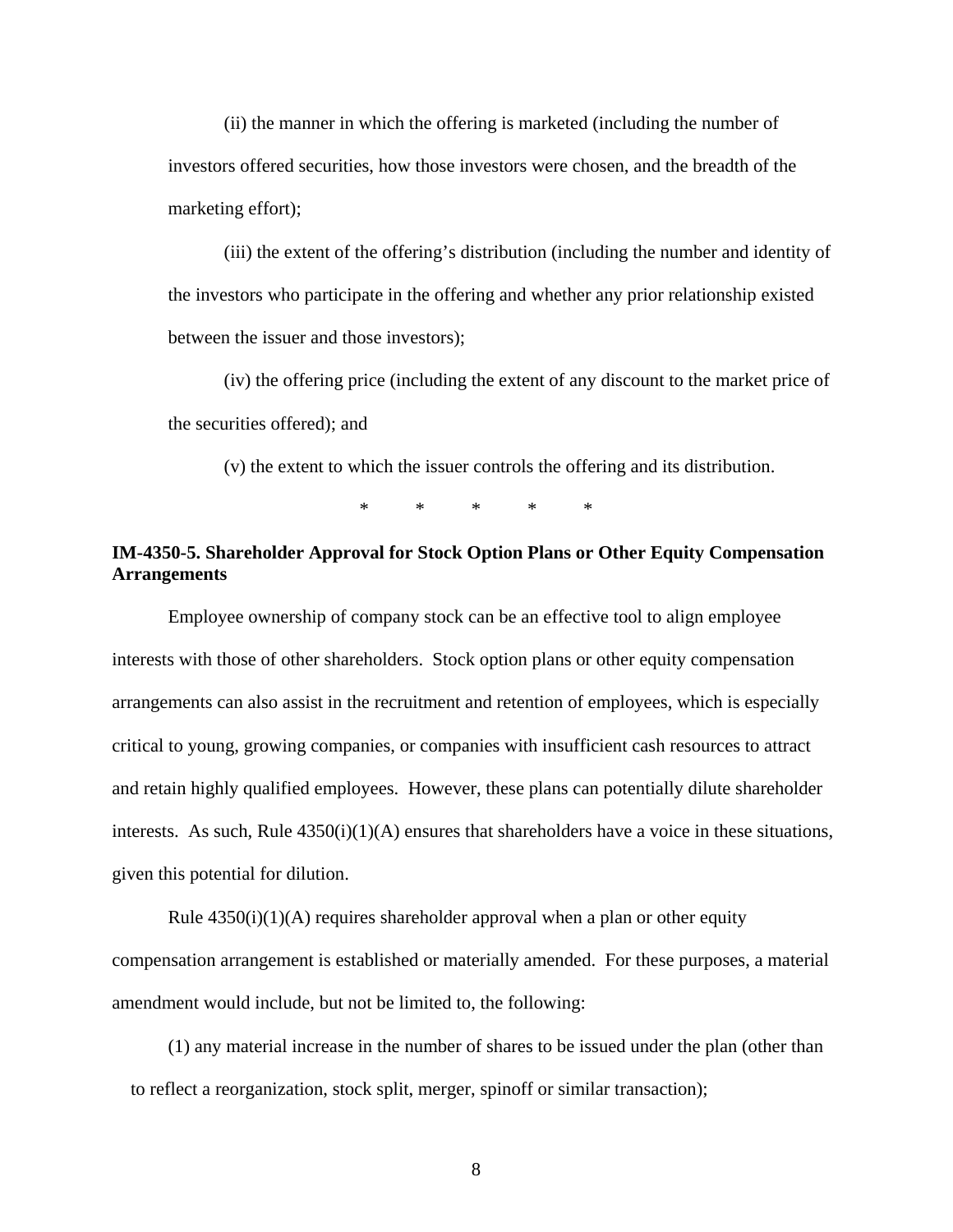(ii) the manner in which the offering is marketed (including the number of investors offered securities, how those investors were chosen, and the breadth of the marketing effort);

(iii) the extent of the offering's distribution (including the number and identity of the investors who participate in the offering and whether any prior relationship existed between the issuer and those investors);

(iv) the offering price (including the extent of any discount to the market price of the securities offered); and

(v) the extent to which the issuer controls the offering and its distribution.

\* \* \* \* \*

## **IM-4350-5. Shareholder Approval for Stock Option Plans or Other Equity Compensation Arrangements**

Employee ownership of company stock can be an effective tool to align employee interests with those of other shareholders. Stock option plans or other equity compensation arrangements can also assist in the recruitment and retention of employees, which is especially critical to young, growing companies, or companies with insufficient cash resources to attract and retain highly qualified employees. However, these plans can potentially dilute shareholder interests. As such, Rule  $4350(i)(1)(A)$  ensures that shareholders have a voice in these situations, given this potential for dilution.

Rule  $4350(i)(1)(A)$  requires shareholder approval when a plan or other equity compensation arrangement is established or materially amended. For these purposes, a material amendment would include, but not be limited to, the following:

(1) any material increase in the number of shares to be issued under the plan (other than to reflect a reorganization, stock split, merger, spinoff or similar transaction);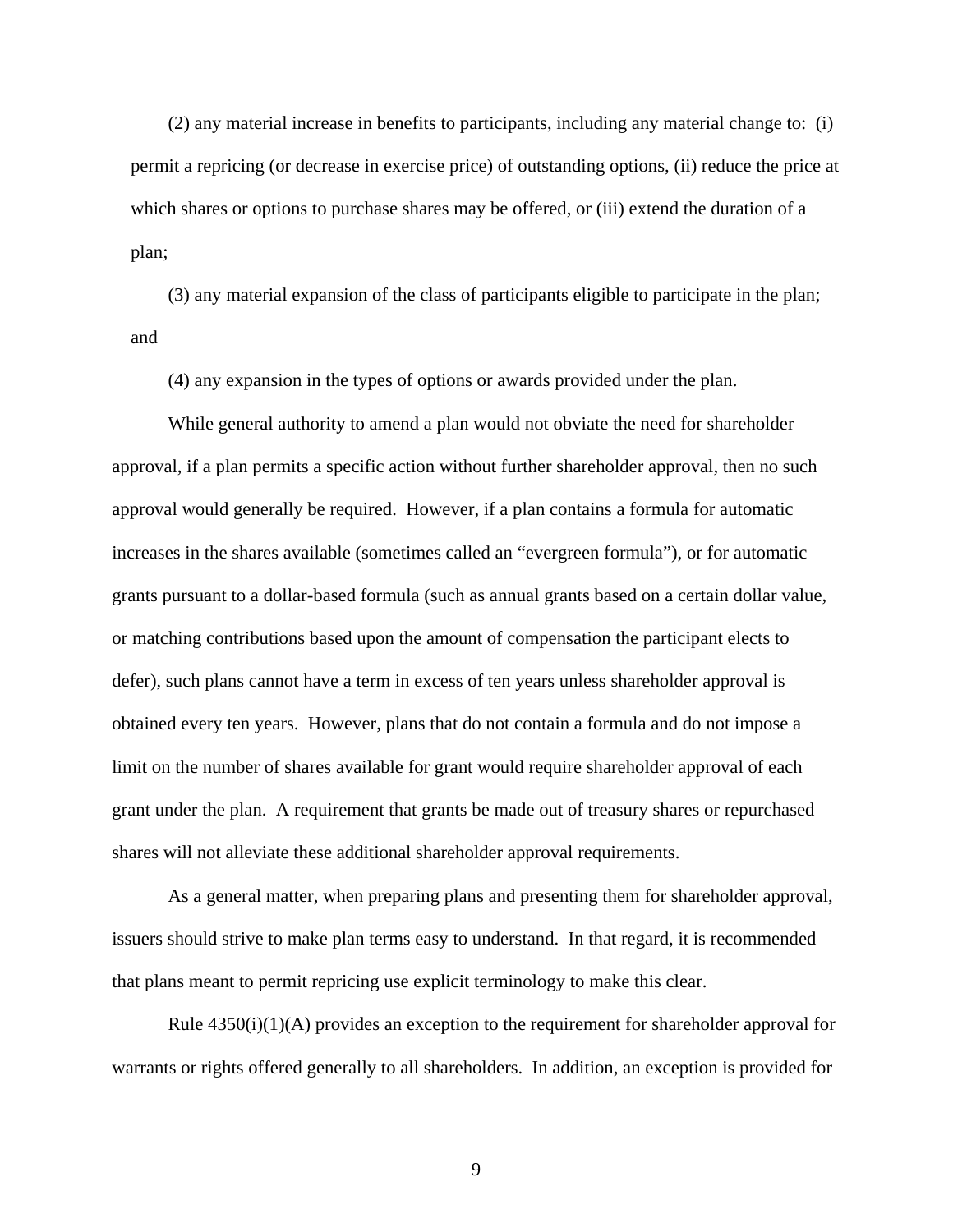(2) any material increase in benefits to participants, including any material change to: (i) permit a repricing (or decrease in exercise price) of outstanding options, (ii) reduce the price at which shares or options to purchase shares may be offered, or (iii) extend the duration of a plan;

(3) any material expansion of the class of participants eligible to participate in the plan; and

(4) any expansion in the types of options or awards provided under the plan.

While general authority to amend a plan would not obviate the need for shareholder approval, if a plan permits a specific action without further shareholder approval, then no such approval would generally be required. However, if a plan contains a formula for automatic increases in the shares available (sometimes called an "evergreen formula"), or for automatic grants pursuant to a dollar-based formula (such as annual grants based on a certain dollar value, or matching contributions based upon the amount of compensation the participant elects to defer), such plans cannot have a term in excess of ten years unless shareholder approval is obtained every ten years. However, plans that do not contain a formula and do not impose a limit on the number of shares available for grant would require shareholder approval of each grant under the plan. A requirement that grants be made out of treasury shares or repurchased shares will not alleviate these additional shareholder approval requirements.

As a general matter, when preparing plans and presenting them for shareholder approval, issuers should strive to make plan terms easy to understand. In that regard, it is recommended that plans meant to permit repricing use explicit terminology to make this clear.

Rule  $4350(i)(1)(A)$  provides an exception to the requirement for shareholder approval for warrants or rights offered generally to all shareholders. In addition, an exception is provided for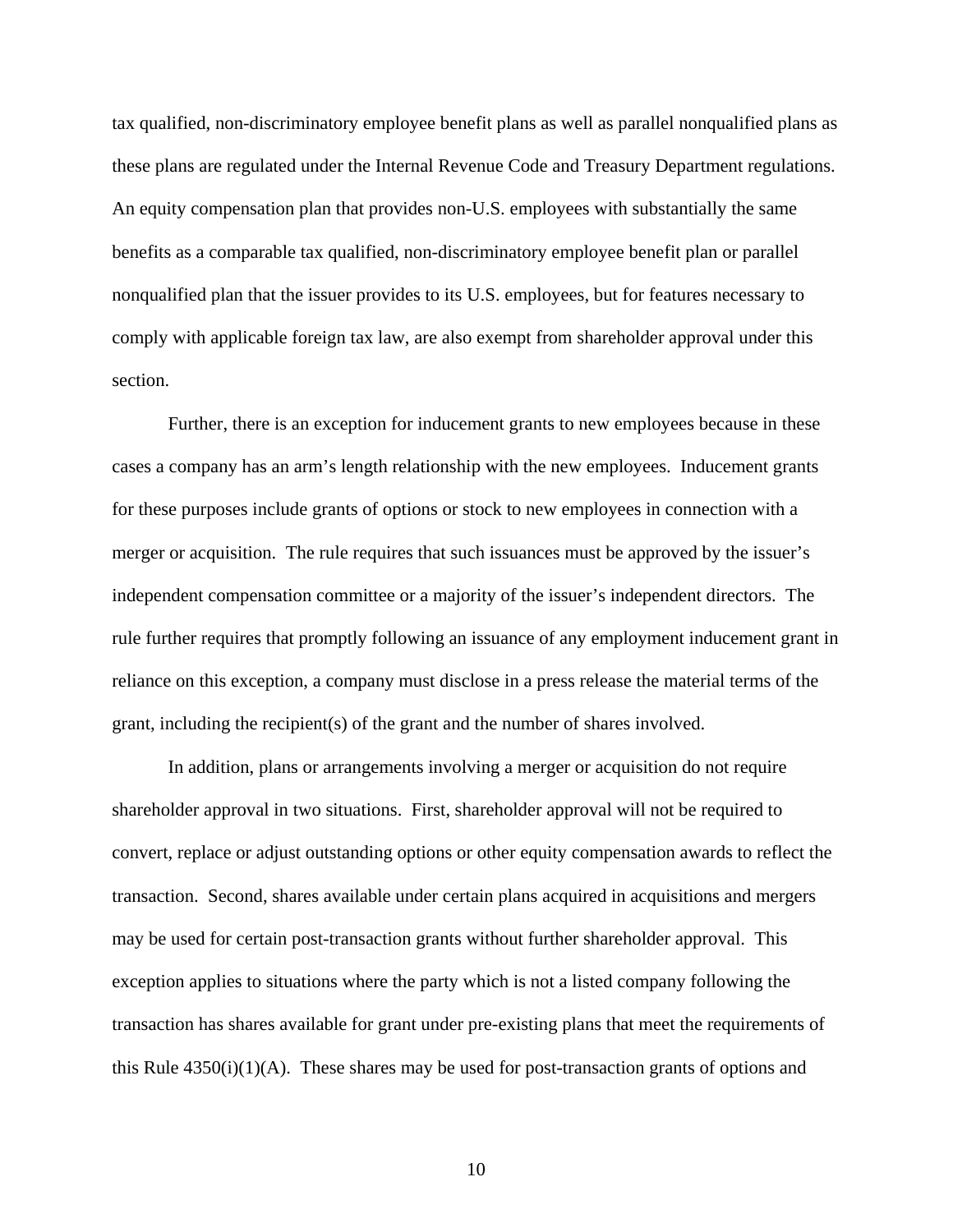tax qualified, non-discriminatory employee benefit plans as well as parallel nonqualified plans as these plans are regulated under the Internal Revenue Code and Treasury Department regulations. An equity compensation plan that provides non-U.S. employees with substantially the same benefits as a comparable tax qualified, non-discriminatory employee benefit plan or parallel nonqualified plan that the issuer provides to its U.S. employees, but for features necessary to comply with applicable foreign tax law, are also exempt from shareholder approval under this section.

Further, there is an exception for inducement grants to new employees because in these cases a company has an arm's length relationship with the new employees. Inducement grants for these purposes include grants of options or stock to new employees in connection with a merger or acquisition. The rule requires that such issuances must be approved by the issuer's independent compensation committee or a majority of the issuer's independent directors. The rule further requires that promptly following an issuance of any employment inducement grant in reliance on this exception, a company must disclose in a press release the material terms of the grant, including the recipient(s) of the grant and the number of shares involved.

In addition, plans or arrangements involving a merger or acquisition do not require shareholder approval in two situations. First, shareholder approval will not be required to convert, replace or adjust outstanding options or other equity compensation awards to reflect the transaction. Second, shares available under certain plans acquired in acquisitions and mergers may be used for certain post-transaction grants without further shareholder approval. This exception applies to situations where the party which is not a listed company following the transaction has shares available for grant under pre-existing plans that meet the requirements of this Rule  $4350(i)(1)(A)$ . These shares may be used for post-transaction grants of options and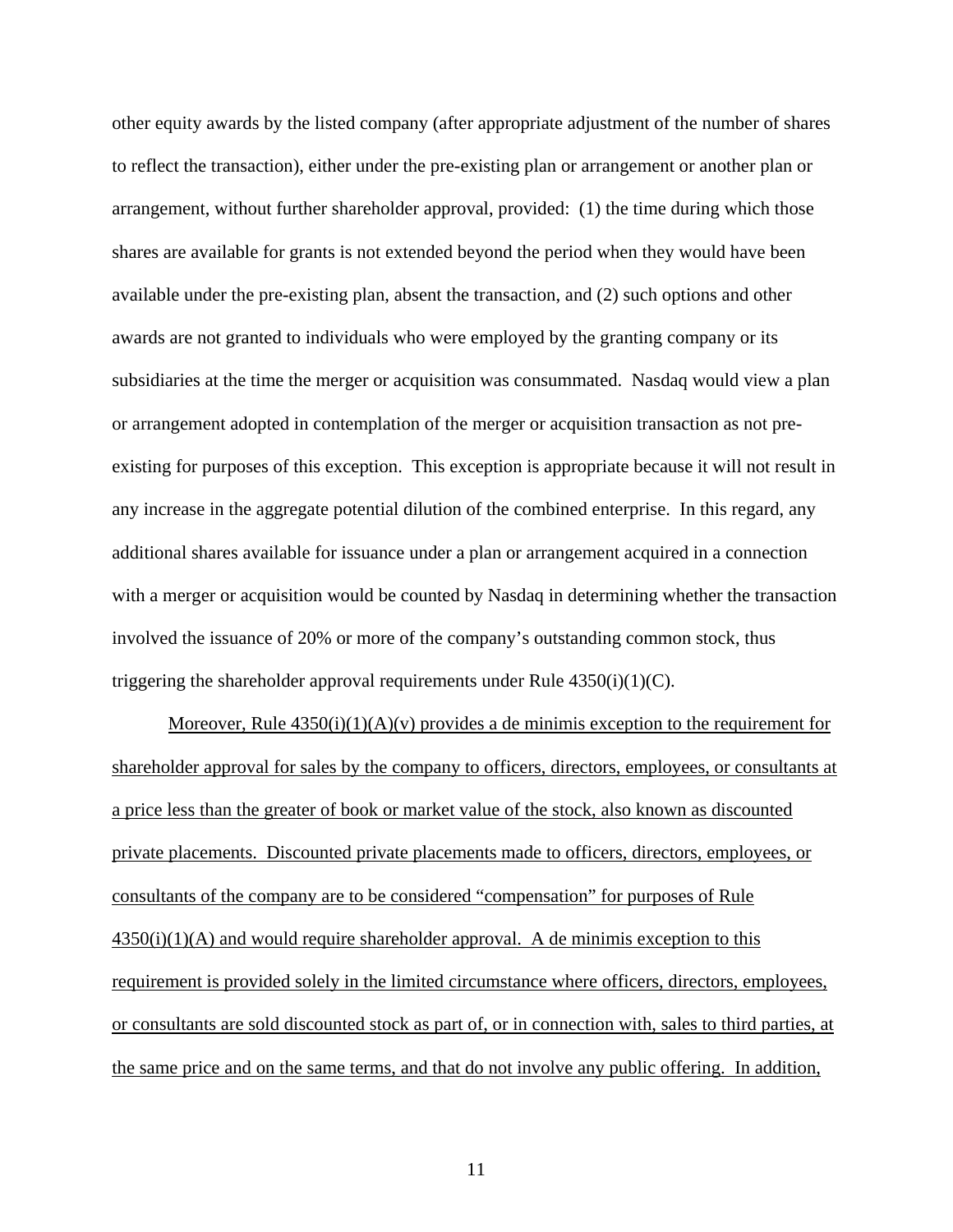other equity awards by the listed company (after appropriate adjustment of the number of shares to reflect the transaction), either under the pre-existing plan or arrangement or another plan or arrangement, without further shareholder approval, provided: (1) the time during which those shares are available for grants is not extended beyond the period when they would have been available under the pre-existing plan, absent the transaction, and (2) such options and other awards are not granted to individuals who were employed by the granting company or its subsidiaries at the time the merger or acquisition was consummated. Nasdaq would view a plan or arrangement adopted in contemplation of the merger or acquisition transaction as not preexisting for purposes of this exception. This exception is appropriate because it will not result in any increase in the aggregate potential dilution of the combined enterprise. In this regard, any additional shares available for issuance under a plan or arrangement acquired in a connection with a merger or acquisition would be counted by Nasdaq in determining whether the transaction involved the issuance of 20% or more of the company's outstanding common stock, thus triggering the shareholder approval requirements under Rule  $4350(i)(1)(C)$ .

Moreover, Rule  $4350(i)(1)(A)(v)$  provides a de minimis exception to the requirement for shareholder approval for sales by the company to officers, directors, employees, or consultants at a price less than the greater of book or market value of the stock, also known as discounted private placements. Discounted private placements made to officers, directors, employees, or consultants of the company are to be considered "compensation" for purposes of Rule  $4350(i)(1)(A)$  and would require shareholder approval. A de minimis exception to this requirement is provided solely in the limited circumstance where officers, directors, employees, or consultants are sold discounted stock as part of, or in connection with, sales to third parties, at the same price and on the same terms, and that do not involve any public offering. In addition,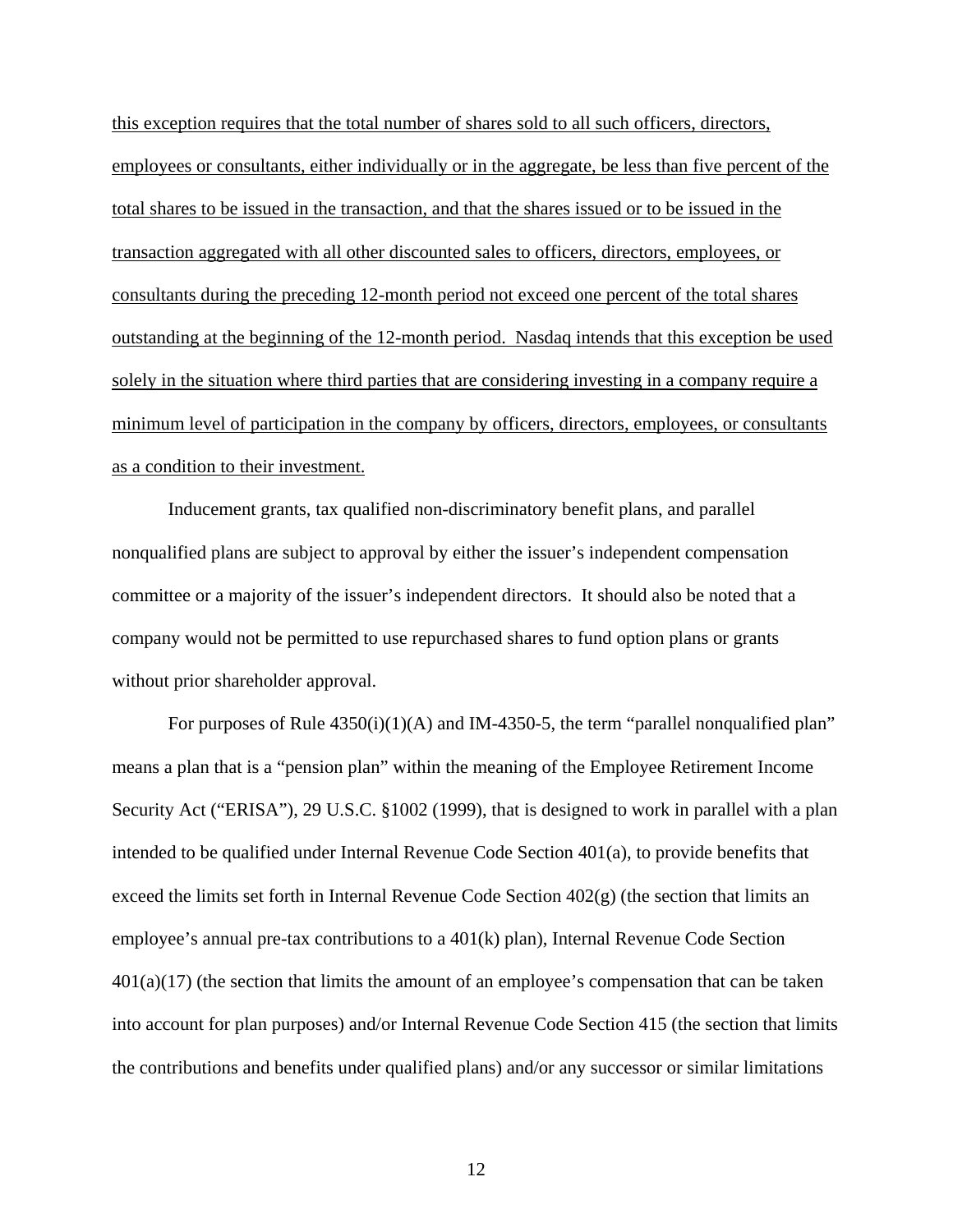this exception requires that the total number of shares sold to all such officers, directors, employees or consultants, either individually or in the aggregate, be less than five percent of the total shares to be issued in the transaction, and that the shares issued or to be issued in the transaction aggregated with all other discounted sales to officers, directors, employees, or consultants during the preceding 12-month period not exceed one percent of the total shares outstanding at the beginning of the 12-month period. Nasdaq intends that this exception be used solely in the situation where third parties that are considering investing in a company require a minimum level of participation in the company by officers, directors, employees, or consultants as a condition to their investment.

Inducement grants, tax qualified non-discriminatory benefit plans, and parallel nonqualified plans are subject to approval by either the issuer's independent compensation committee or a majority of the issuer's independent directors. It should also be noted that a company would not be permitted to use repurchased shares to fund option plans or grants without prior shareholder approval.

For purposes of Rule  $4350(i)(1)(A)$  and IM-4350-5, the term "parallel nonqualified plan" means a plan that is a "pension plan" within the meaning of the Employee Retirement Income Security Act ("ERISA"), 29 U.S.C. §1002 (1999), that is designed to work in parallel with a plan intended to be qualified under Internal Revenue Code Section 401(a), to provide benefits that exceed the limits set forth in Internal Revenue Code Section  $402(g)$  (the section that limits an employee's annual pre-tax contributions to a 401(k) plan), Internal Revenue Code Section  $401(a)(17)$  (the section that limits the amount of an employee's compensation that can be taken into account for plan purposes) and/or Internal Revenue Code Section 415 (the section that limits the contributions and benefits under qualified plans) and/or any successor or similar limitations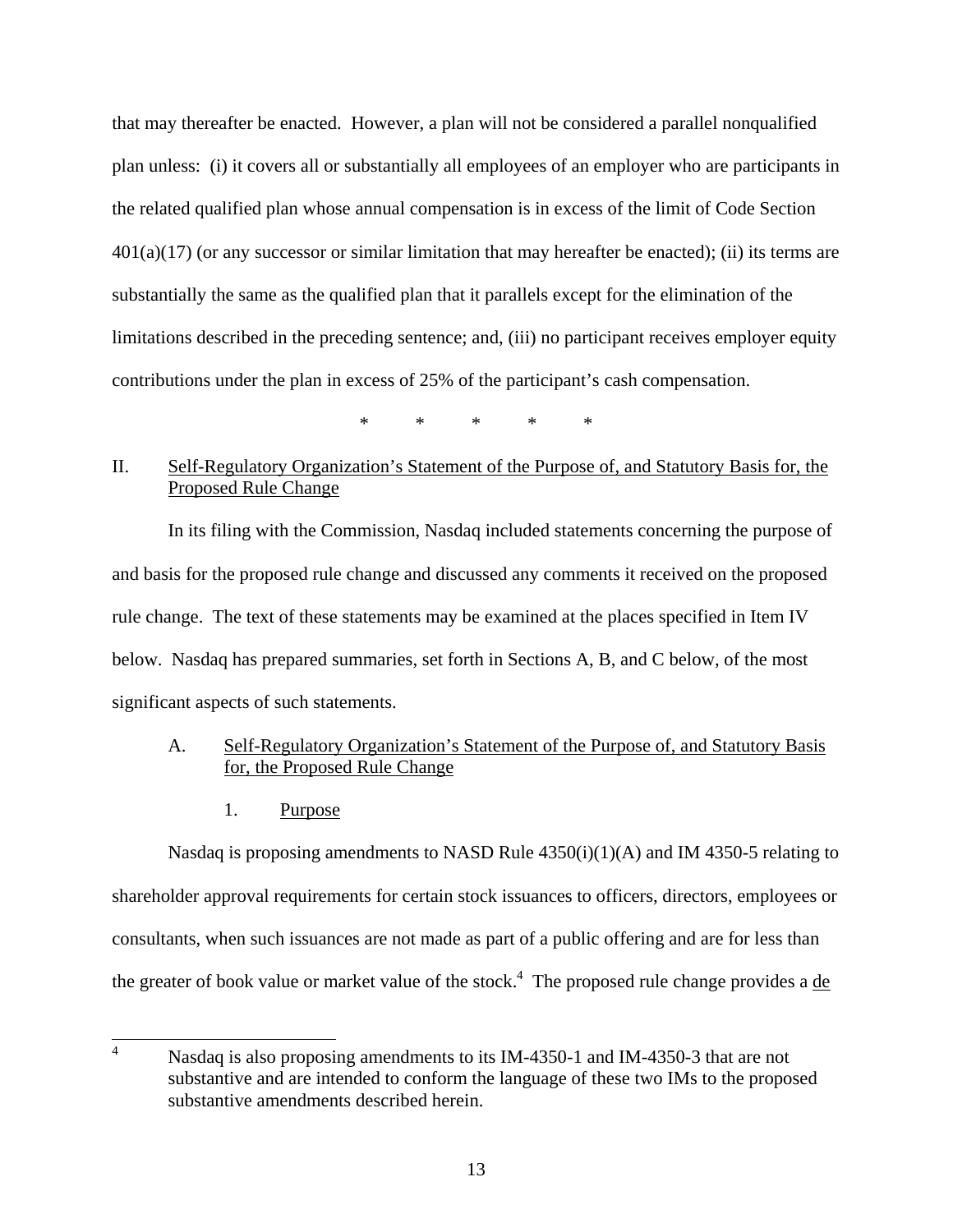that may thereafter be enacted. However, a plan will not be considered a parallel nonqualified plan unless: (i) it covers all or substantially all employees of an employer who are participants in the related qualified plan whose annual compensation is in excess of the limit of Code Section  $401(a)(17)$  (or any successor or similar limitation that may hereafter be enacted); (ii) its terms are substantially the same as the qualified plan that it parallels except for the elimination of the limitations described in the preceding sentence; and, (iii) no participant receives employer equity contributions under the plan in excess of 25% of the participant's cash compensation.

\* \* \* \* \*

# II. Self-Regulatory Organization's Statement of the Purpose of, and Statutory Basis for, the Proposed Rule Change

In its filing with the Commission, Nasdaq included statements concerning the purpose of and basis for the proposed rule change and discussed any comments it received on the proposed rule change. The text of these statements may be examined at the places specified in Item IV below. Nasdaq has prepared summaries, set forth in Sections A, B, and C below, of the most significant aspects of such statements.

# A. Self-Regulatory Organization's Statement of the Purpose of, and Statutory Basis for, the Proposed Rule Change

1. Purpose

Nasdaq is proposing amendments to NASD Rule  $4350(i)(1)(A)$  and IM 4350-5 relating to shareholder approval requirements for certain stock issuances to officers, directors, employees or consultants, when such issuances are not made as part of a public offering and are for less than the greater of book value or market value of the stock.<sup>4</sup> The proposed rule change provides a de

<span id="page-12-0"></span>4 Nasdaq is also proposing amendments to its IM-4350-1 and IM-4350-3 that are not substantive and are intended to conform the language of these two IMs to the proposed substantive amendments described herein.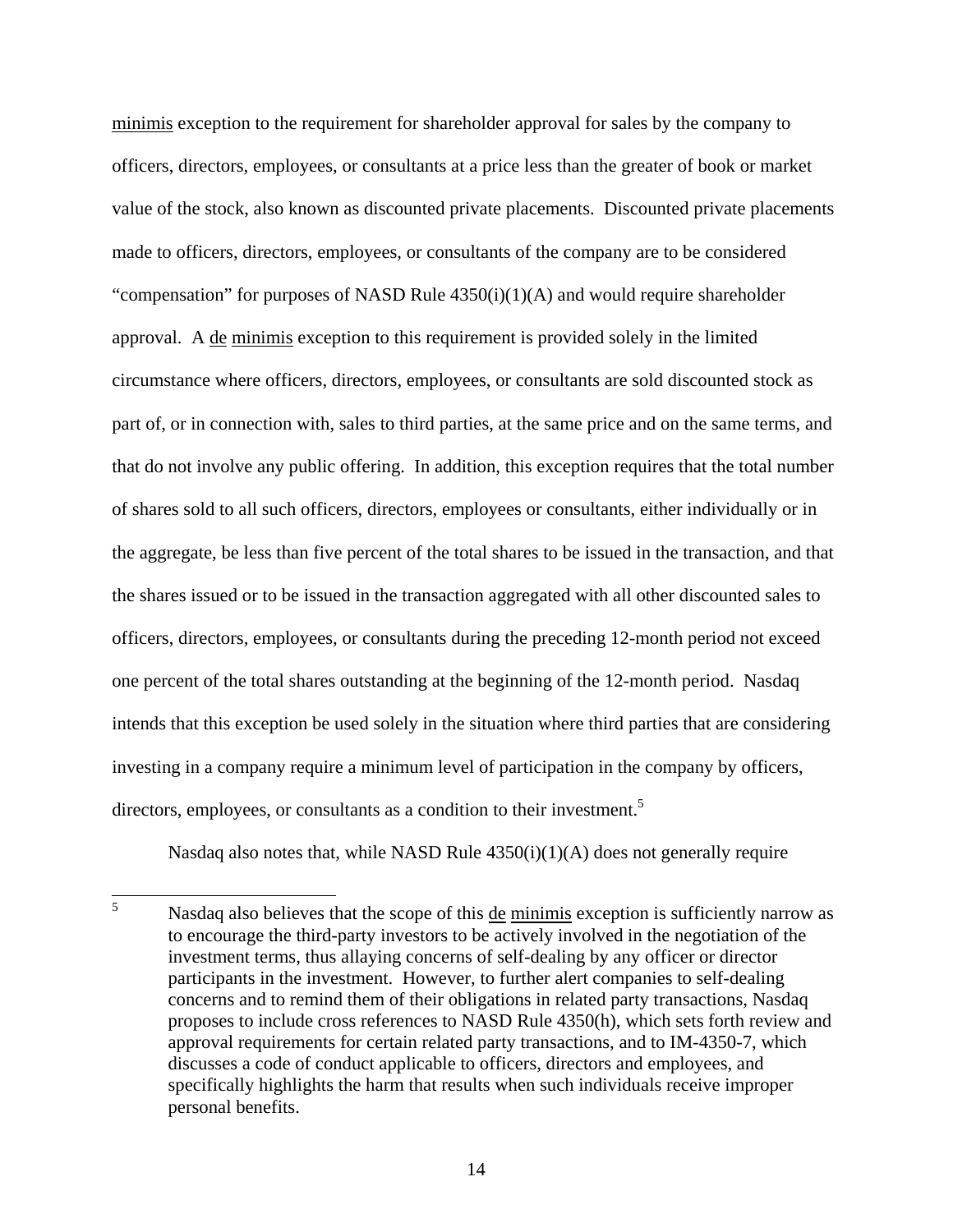minimis exception to the requirement for shareholder approval for sales by the company to officers, directors, employees, or consultants at a price less than the greater of book or market value of the stock, also known as discounted private placements. Discounted private placements made to officers, directors, employees, or consultants of the company are to be considered "compensation" for purposes of NASD Rule  $4350(i)(1)(A)$  and would require shareholder approval. A de minimis exception to this requirement is provided solely in the limited circumstance where officers, directors, employees, or consultants are sold discounted stock as part of, or in connection with, sales to third parties, at the same price and on the same terms, and that do not involve any public offering. In addition, this exception requires that the total number of shares sold to all such officers, directors, employees or consultants, either individually or in the aggregate, be less than five percent of the total shares to be issued in the transaction, and that the shares issued or to be issued in the transaction aggregated with all other discounted sales to officers, directors, employees, or consultants during the preceding 12-month period not exceed one percent of the total shares outstanding at the beginning of the 12-month period. Nasdaq intends that this exception be used solely in the situation where third parties that are considering investing in a company require a minimum level of participation in the company by officers, directors, employees, or consultants as a condition to their investment.<sup>[5](#page-13-0)</sup>

Nasdaq also notes that, while NASD Rule  $4350(i)(1)(A)$  does not generally require

<span id="page-13-0"></span>5 Nasdaq also believes that the scope of this de minimis exception is sufficiently narrow as to encourage the third-party investors to be actively involved in the negotiation of the investment terms, thus allaying concerns of self-dealing by any officer or director participants in the investment. However, to further alert companies to self-dealing concerns and to remind them of their obligations in related party transactions, Nasdaq proposes to include cross references to NASD Rule 4350(h), which sets forth review and approval requirements for certain related party transactions, and to IM-4350-7, which discusses a code of conduct applicable to officers, directors and employees, and specifically highlights the harm that results when such individuals receive improper personal benefits.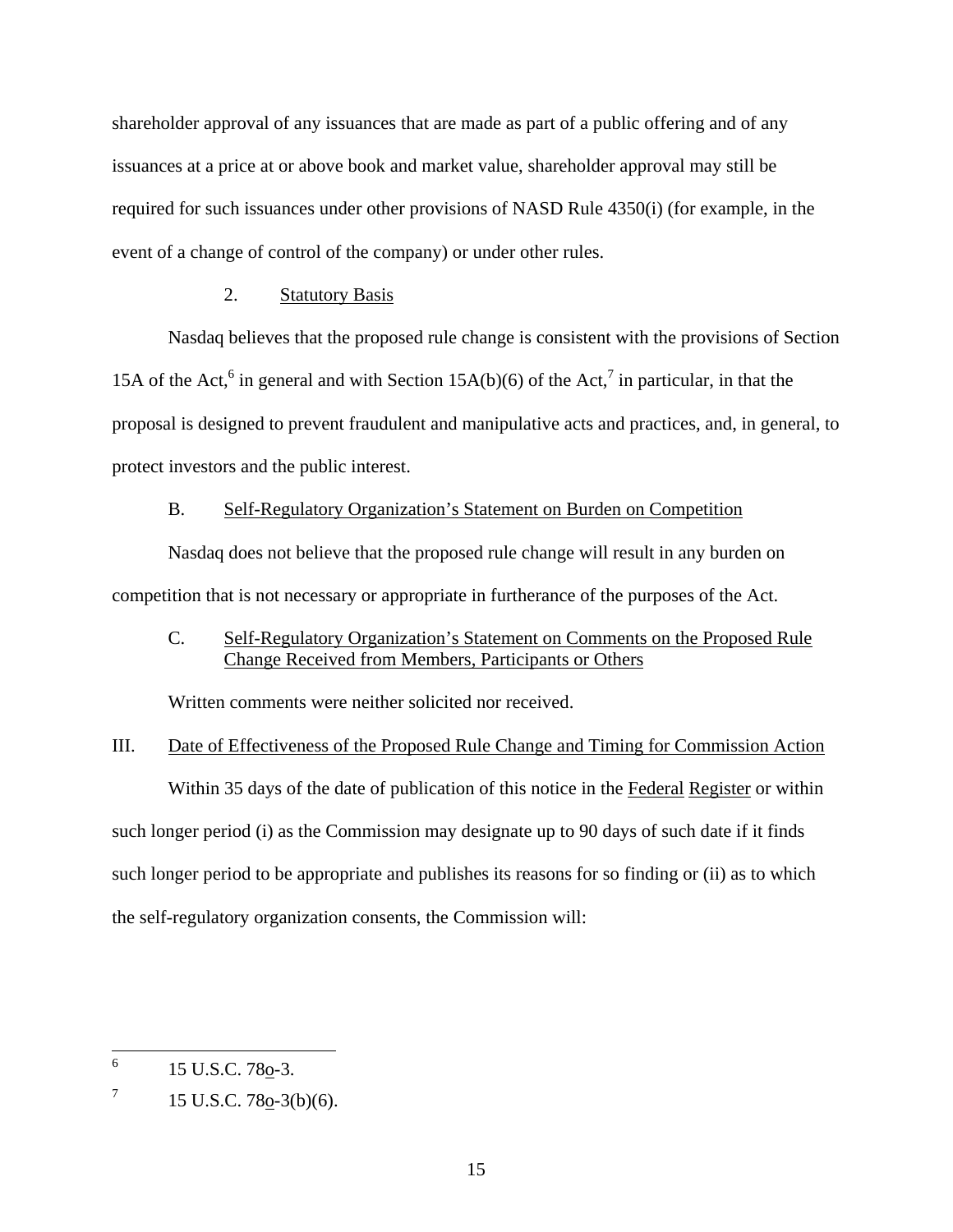shareholder approval of any issuances that are made as part of a public offering and of any issuances at a price at or above book and market value, shareholder approval may still be required for such issuances under other provisions of NASD Rule 4350(i) (for example, in the event of a change of control of the company) or under other rules.

## 2. Statutory Basis

Nasdaq believes that the proposed rule change is consistent with the provisions of Section 15A of the Act,<sup>[6](#page-14-0)</sup> [i](#page-14-1)n general and with Section 15A(b)(6) of the Act,<sup>7</sup> in particular, in that the proposal is designed to prevent fraudulent and manipulative acts and practices, and, in general, to protect investors and the public interest.

#### B. Self-Regulatory Organization's Statement on Burden on Competition

Nasdaq does not believe that the proposed rule change will result in any burden on competition that is not necessary or appropriate in furtherance of the purposes of the Act.

# C. Self-Regulatory Organization's Statement on Comments on the Proposed Rule Change Received from Members, Participants or Others

Written comments were neither solicited nor received.

# III. Date of Effectiveness of the Proposed Rule Change and Timing for Commission Action

Within 35 days of the date of publication of this notice in the Federal Register or within such longer period (i) as the Commission may designate up to 90 days of such date if it finds such longer period to be appropriate and publishes its reasons for so finding or (ii) as to which the self-regulatory organization consents, the Commission will:

<span id="page-14-0"></span>6 15 U.S.C. 780-3.

<span id="page-14-1"></span><sup>7</sup> 15 U.S.C. 78o-3(b)(6).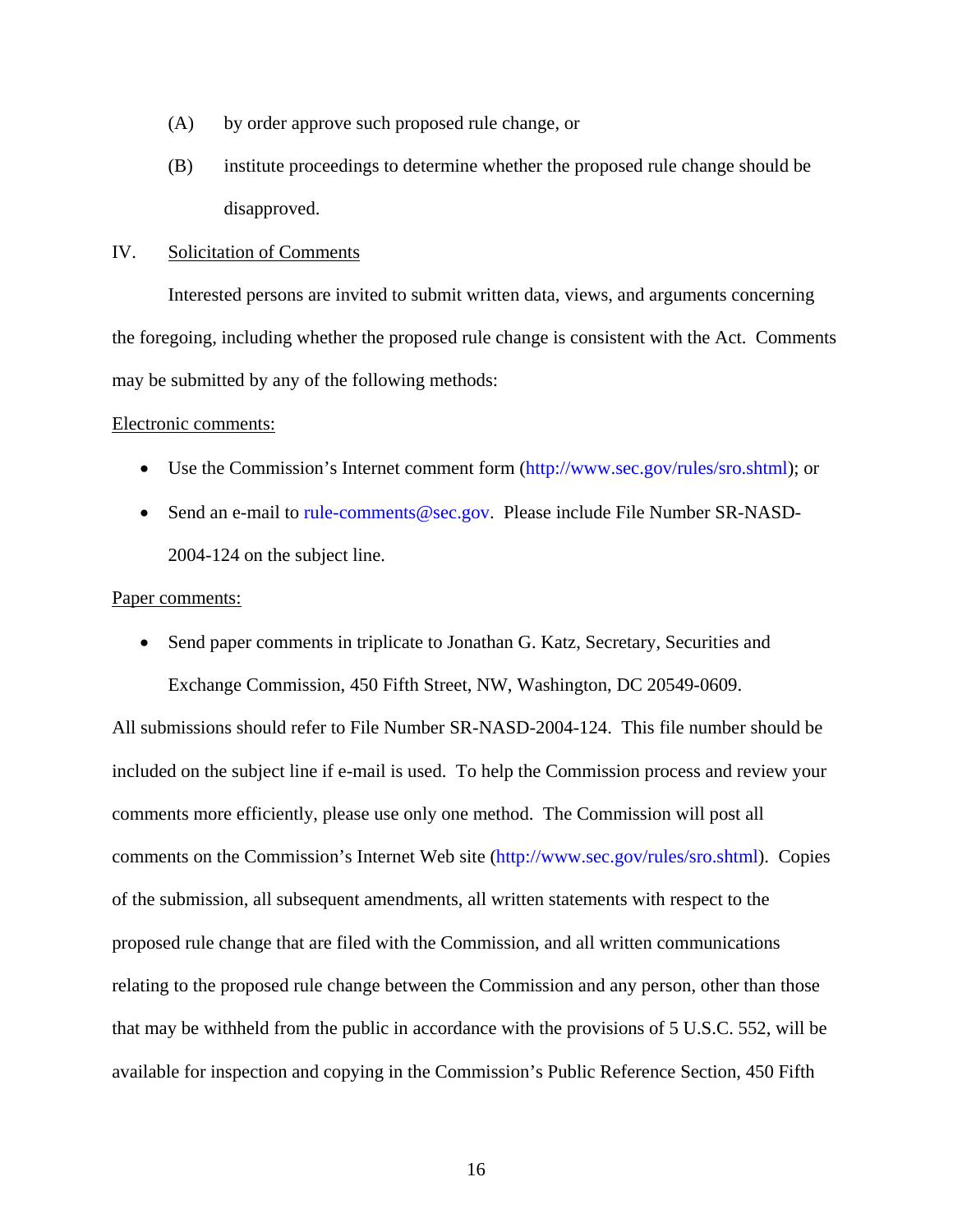- (A) by order approve such proposed rule change, or
- (B) institute proceedings to determine whether the proposed rule change should be disapproved.

#### IV. Solicitation of Comments

Interested persons are invited to submit written data, views, and arguments concerning the foregoing, including whether the proposed rule change is consistent with the Act. Comments may be submitted by any of the following methods:

#### Electronic comments:

- Use the Commission's Internet comment form (<http://www.sec.gov/rules/sro.shtml>); or
- Send an e-mail to [rule-comments@sec.gov.](mailto:rule-comments@sec.gov) Please include File Number SR-NASD-2004-124 on the subject line.

#### Paper comments:

• Send paper comments in triplicate to Jonathan G. Katz, Secretary, Securities and Exchange Commission, 450 Fifth Street, NW, Washington, DC 20549-0609.

All submissions should refer to File Number SR-NASD-2004-124. This file number should be included on the subject line if e-mail is used. To help the Commission process and review your comments more efficiently, please use only one method. The Commission will post all comments on the Commission's Internet Web site (http://www.sec.gov/rules/sro.shtml). Copies of the submission, all subsequent amendments, all written statements with respect to the proposed rule change that are filed with the Commission, and all written communications relating to the proposed rule change between the Commission and any person, other than those that may be withheld from the public in accordance with the provisions of 5 U.S.C. 552, will be available for inspection and copying in the Commission's Public Reference Section, 450 Fifth